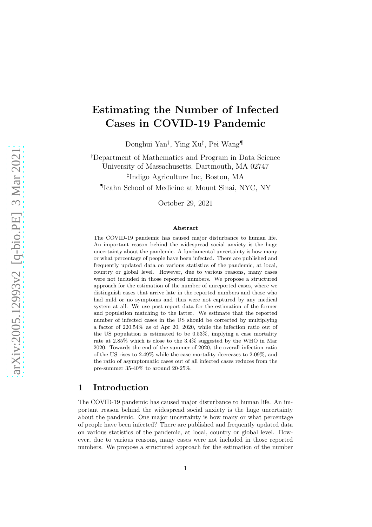# Estimating the Number of Infected Cases in COVID-19 Pandemic

Donghui Yan† , Ying Xu‡ , Pei Wang¶

†Department of Mathematics and Program in Data Science University of Massachusetts, Dartmouth, MA 02747 ‡ Indigo Agriculture Inc, Boston, MA ¶ Icahn School of Medicine at Mount Sinai, NYC, NY

October 29, 2021

#### Abstract

The COVID-19 pandemic has caused major disturbance to human life. An important reason behind the widespread social anxiety is the huge uncertainty about the pandemic. A fundamental uncertainty is how many or what percentage of people have been infected. There are published and frequently updated data on various statistics of the pandemic, at local, country or global level. However, due to various reasons, many cases were not included in those reported numbers. We propose a structured approach for the estimation of the number of unreported cases, where we distinguish cases that arrive late in the reported numbers and those who had mild or no symptoms and thus were not captured by any medical system at all. We use post-report data for the estimation of the former and population matching to the latter. We estimate that the reported number of infected cases in the US should be corrected by multiplying a factor of 220.54% as of Apr 20, 2020, while the infection ratio out of the US population is estimated to be 0.53%, implying a case mortality rate at 2.85% which is close to the 3.4% suggested by the WHO in Mar 2020. Towards the end of the summer of 2020, the overall infection ratio of the US rises to 2.49% while the case mortality decreases to 2.09%, and the ratio of asymptomatic cases out of all infected cases reduces from the pre-summer 35-40% to around 20-25%.

## <span id="page-0-0"></span>1 Introduction

The COVID-19 pandemic has caused major disturbance to human life. An important reason behind the widespread social anxiety is the huge uncertainty about the pandemic. One major uncertainty is how many or what percentage of people have been infected? There are published and frequently updated data on various statistics of the pandemic, at local, country or global level. However, due to various reasons, many cases were not included in those reported numbers. We propose a structured approach for the estimation of the number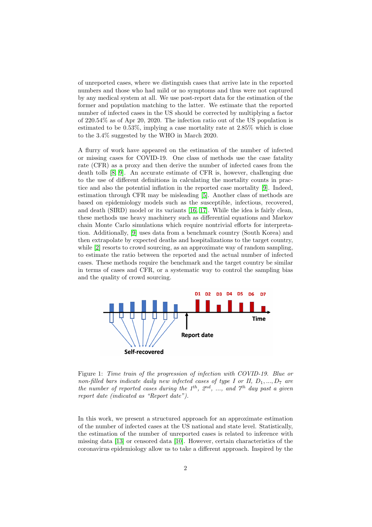of unreported cases, where we distinguish cases that arrive late in the reported numbers and those who had mild or no symptoms and thus were not captured by any medical system at all. We use post-report data for the estimation of the former and population matching to the latter. We estimate that the reported number of infected cases in the US should be corrected by multiplying a factor of 220.54% as of Apr 20, 2020. The infection ratio out of the US population is estimated to be 0.53%, implying a case mortality rate at 2.85% which is close to the 3.4% suggested by the WHO in March 2020.

A flurry of work have appeared on the estimation of the number of infected or missing cases for COVID-19. One class of methods use the case fatality rate (CFR) as a proxy and then derive the number of infected cases from the death tolls [\[8,](#page-18-0) [9\]](#page-18-1). An accurate estimate of CFR is, however, challenging due to the use of different definitions in calculating the mortality counts in practice and also the potential inflation in the reported case mortality [\[9\]](#page-18-1). Indeed, estimation through CFR may be misleading [\[5\]](#page-18-2). Another class of methods are based on epidemiology models such as the susceptible, infectious, recovered, and death (SIRD) model or its variants [\[16,](#page-19-0) [17\]](#page-19-1). While the idea is fairly clean, these methods use heavy machinery such as differential equations and Markov chain Monte Carlo simulations which require nontrivial efforts for interpretation. Additionally, [\[9\]](#page-18-1) uses data from a benchmark country (South Korea) and then extrapolate by expected deaths and hospitalizations to the target country, while [\[2\]](#page-16-0) resorts to crowd sourcing, as an approximate way of random sampling, to estimate the ratio between the reported and the actual number of infected cases. These methods require the benchmark and the target country be similar in terms of cases and CFR, or a systematic way to control the sampling bias and the quality of crowd sourcing.



<span id="page-1-0"></span>Figure 1: *Time train of the progression of infection with COVID-19. Blue or non-filled bars indicate daily new infected cases of type I or II,*  $D_1, ..., D_7$  *are the number of reported cases during the 1*th*, 2*nd*, ..., and 7*th *day past a given report date (indicated as "Report date").*

In this work, we present a structured approach for an approximate estimation of the number of infected cases at the US national and state level. Statistically, the estimation of the number of unreported cases is related to inference with missing data [\[13\]](#page-18-3) or censored data [\[10\]](#page-18-4). However, certain characteristics of the coronavirus epidemiology allow us to take a different approach. Inspired by the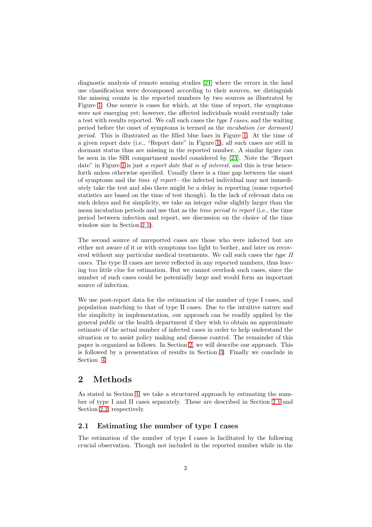diagnostic analysis of remote sensing studies [\[21\]](#page-19-2) where the errors in the land use classification were decomposed according to their sources, we distinguish the missing counts in the reported numbers by two sources as illustrated by Figure [1.](#page-1-0) One source is cases for which, at the time of report, the symptoms were not emerging yet; however, the affected individuals would eventually take a test with results reported. We call such cases the *type I cases*, and the waiting period before the onset of symptoms is termed as the *incubation (or dormant) period*. This is illustrated as the filled blue bars in Figure [1.](#page-1-0) At the time of a given report date (i.e., "Report date" in Figure [1\)](#page-1-0), all such cases are still in dormant status thus are missing in the reported number. A similar figure can be seen in the SIR compartment model considered by [\[23\]](#page-19-3). Note the "Report date" in Figure [1](#page-1-0) is just *a report date that is of interest*, and this is true henceforth unless otherwise specified. Usually there is a time gap between the onset of symptoms and the *time of report*—the infected individual may not immediately take the test and also there might be a delay in reporting (some reported statistics are based on the time of test though). In the lack of relevant data on such delays and for simplicity, we take an integer value slightly larger than the mean incubation periods and use that as the *time period to report* (i.e., the time period between infection and report, see discussion on the choice of the time window size in Section [2.1\)](#page-2-0).

The second source of unreported cases are those who were infected but are either not aware of it or with symptoms too light to bother, and later on recovered without any particular medical treatments. We call such cases the *type II cases*. The type II cases are never reflected in any reported numbers, thus leaving too little clue for estimation. But we cannot overlook such cases, since the number of such cases could be potentially large and would form an important source of infection.

We use post-report data for the estimation of the number of type I cases, and population matching to that of type II cases. Due to the intuitive nature and the simplicity in implementation, our approach can be readily applied by the general public or the health department if they wish to obtain an approximate estimate of the actual number of infected cases in order to help understand the situation or to assist policy making and disease control. The remainder of this paper is organized as follows. In Section [2,](#page-2-1) we will describe our approach. This is followed by a presentation of results in Section [3.](#page-8-0) Finally we conclude in Section [4.](#page-12-0)

## <span id="page-2-1"></span>2 Methods

As stated in Section [1,](#page-0-0) we take a structured approach by estimating the number of type I and II cases separately. These are described in Section [2.1](#page-2-0) and Section [2.2,](#page-5-0) respectively.

#### <span id="page-2-0"></span>2.1 Estimating the number of type I cases

The estimation of the number of type I cases is facilitated by the following crucial observation. Though not included in the reported number while in the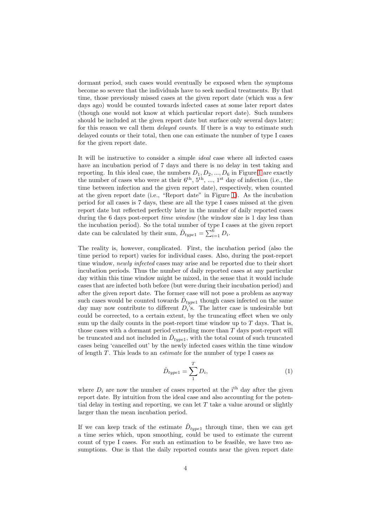dormant period, such cases would eventually be exposed when the symptoms become so severe that the individuals have to seek medical treatments. By that time, those previously missed cases at the given report date (which was a few days ago) would be counted towards infected cases at some later report dates (though one would not know at which particular report date). Such numbers should be included at the given report date but surface only several days later; for this reason we call them *delayed counts*. If there is a way to estimate such delayed counts or their total, then one can estimate the number of type I cases for the given report date.

It will be instructive to consider a simple *ideal* case where all infected cases have an incubation period of 7 days and there is no delay in test taking and reporting. In this ideal case, the numbers  $D_1, D_2, ..., D_6$  in Figure [1](#page-1-0) are exactly the number of cases who were at their  $6^{th}$ ,  $5^{th}$ , ...,  $1^{st}$  day of infection (i.e., the time between infection and the given report date), respectively, when counted at the given report date (i.e., "Report date" in Figure [1\)](#page-1-0). As the incubation period for all cases is 7 days, these are all the type I cases missed at the given report date but reflected perfectly later in the number of daily reported cases during the 6 days post-report *time window* (the window size is 1 day less than the incubation period). So the total number of type I cases at the given report date can be calculated by their sum,  $\hat{D}_{type1} = \sum_{i=1}^{6} D_i$ .

The reality is, however, complicated. First, the incubation period (also the time period to report) varies for individual cases. Also, during the post-report time window, *newly infected* cases may arise and be reported due to their short incubation periods. Thus the number of daily reported cases at any particular day within this time window might be mixed, in the sense that it would include cases that are infected both before (but were during their incubation period) and after the given report date. The former case will not pose a problem as anyway such cases would be counted towards  $\hat{D}_{type1}$  though cases infected on the same day may now contribute to different  $D_i$ 's. The latter case is undesirable but could be corrected, to a certain extent, by the truncating effect when we only sum up the daily counts in the post-report time window up to  $T$  days. That is, those cases with a dormant period extending more than  $T$  days post-report will be truncated and not included in  $\hat{D}_{type1}$ , with the total count of such truncated cases being 'cancelled out' by the newly infected cases within the time window of length T . This leads to an *estimate* for the number of type I cases as

$$
\hat{D}_{type1} = \sum_{1}^{T} D_i,\tag{1}
$$

where  $D_i$  are now the number of cases reported at the i<sup>th</sup> day after the given report date. By intuition from the ideal case and also accounting for the potential delay in testing and reporting, we can let  $T$  take a value around or slightly larger than the mean incubation period.

If we can keep track of the estimate  $\hat{D}_{type1}$  through time, then we can get a time series which, upon smoothing, could be used to estimate the current count of type I cases. For such an estimation to be feasible, we have two assumptions. One is that the daily reported counts near the given report date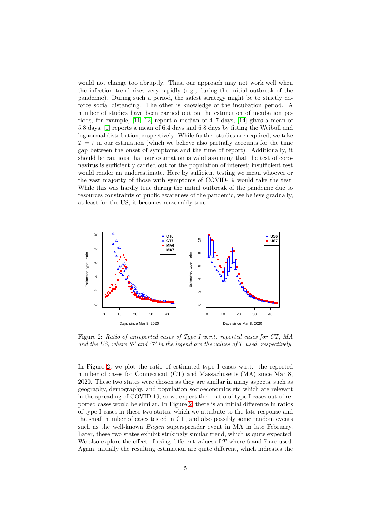would not change too abruptly. Thus, our approach may not work well when the infection trend rises very rapidly (e.g., during the initial outbreak of the pandemic). During such a period, the safest strategy might be to strictly enforce social distancing. The other is knowledge of the incubation period. A number of studies have been carried out on the estimation of incubation periods, for example, [\[11,](#page-18-5) [12\]](#page-18-6) report a median of 4–7 days, [\[14\]](#page-18-7) gives a mean of 5.8 days, [\[1\]](#page-16-1) reports a mean of 6.4 days and 6.8 days by fitting the Weibull and lognormal distribution, respectively. While further studies are required, we take  $T = 7$  in our estimation (which we believe also partially accounts for the time gap between the onset of symptoms and the time of report). Additionally, it should be cautious that our estimation is valid assuming that the test of coronavirus is sufficiently carried out for the population of interest; insufficient test would render an underestimate. Here by sufficient testing we mean whoever or the vast majority of those with symptoms of COVID-19 would take the test. While this was hardly true during the initial outbreak of the pandemic due to resources constraints or public awareness of the pandemic, we believe gradually, at least for the US, it becomes reasonably true.



<span id="page-4-0"></span>Figure 2: *Ratio of unreported cases of Type I w.r.t. reported cases for CT, MA and the US, where '6' and '7' in the legend are the values of* T *used, respectively.*

In Figure [2,](#page-4-0) we plot the ratio of estimated type I cases w.r.t. the reported number of cases for Connecticut (CT) and Massachusetts (MA) since Mar 8, 2020. These two states were chosen as they are similar in many aspects, such as geography, demography, and population socioeconomics etc which are relevant in the spreading of COVID-19, so we expect their ratio of type I cases out of reported cases would be similar. In Figure [2,](#page-4-0) there is an initial difference in ratios of type I cases in these two states, which we attribute to the late response and the small number of cases tested in CT, and also possibly some random events such as the well-known *Biogen* superspreader event in MA in late February. Later, these two states exhibit strikingly similar trend, which is quite expected. We also explore the effect of using different values of  $T$  where  $6$  and  $7$  are used. Again, initially the resulting estimation are quite different, which indicates the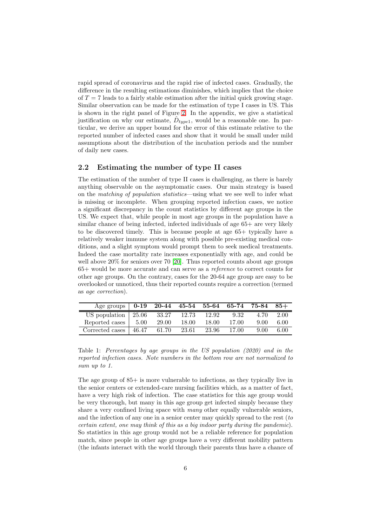rapid spread of coronavirus and the rapid rise of infected cases. Gradually, the difference in the resulting estimations diminishes, which implies that the choice of  $T = 7$  leads to a fairly stable estimation after the initial quick growing stage. Similar observation can be made for the estimation of type I cases in US. This is shown in the right panel of Figure [2.](#page-4-0) In the appendix, we give a statistical justification on why our estimate,  $\hat{D}_{type1}$ , would be a reasonable one. In particular, we derive an upper bound for the error of this estimate relative to the reported number of infected cases and show that it would be small under mild assumptions about the distribution of the incubation periods and the number of daily new cases.

#### <span id="page-5-0"></span>2.2 Estimating the number of type II cases

The estimation of the number of type II cases is challenging, as there is barely anything observable on the asymptomatic cases. Our main strategy is based on the *matching of population statistics*—using what we see well to infer what is missing or incomplete. When grouping reported infection cases, we notice a significant discrepancy in the count statistics by different age groups in the US. We expect that, while people in most age groups in the population have a similar chance of being infected, infected individuals of age 65+ are very likely to be discovered timely. This is because people at age 65+ typically have a relatively weaker immune system along with possible pre-existing medical conditions, and a slight symptom would prompt them to seek medical treatments. Indeed the case mortality rate increases exponentially with age, and could be well above 20% for seniors over 70 [\[20\]](#page-19-4). Thus reported counts about age groups 65+ would be more accurate and can serve as a *reference* to correct counts for other age groups. On the contrary, cases for the 20-64 age group are easy to be overlooked or unnoticed, thus their reported counts require a correction (termed as *age correction*).

| Age groups   $0-19$ 20-44 45-54 55-64 65-74 75-84 85+ |                    |       |       |       |      |      |
|-------------------------------------------------------|--------------------|-------|-------|-------|------|------|
| US population $\vert$ 25.06                           | $\overline{33.27}$ | 12.73 | 12.92 | 9.32  | 4.70 | 2.00 |
| Reported cases   5.00                                 | 29.00              | 18.00 | 18.00 | 17.00 | 9.00 | 6.00 |
| Corrected cases $ 46.47\rangle$                       | 61.70              | 23.61 | 23.96 | 17.00 | 9.00 | 6.00 |

<span id="page-5-1"></span>Table 1: *Percentages by age groups in the US population (2020) and in the reported infection cases. Note numbers in the bottom row are not normalized to sum up to 1.*

The age group of 85+ is more vulnerable to infections, as they typically live in the senior centers or extended-care nursing facilities which, as a matter of fact, have a very high risk of infection. The case statistics for this age group would be very thorough, but many in this age group get infected simply because they share a very confined living space with *many* other equally vulnerable seniors, and the infection of any one in a senior center may quickly spread to the rest (*to certain extent, one may think of this as a big indoor party during the pandemic*). So statistics in this age group would not be a reliable reference for population match, since people in other age groups have a very different mobility pattern (the infants interact with the world through their parents thus have a chance of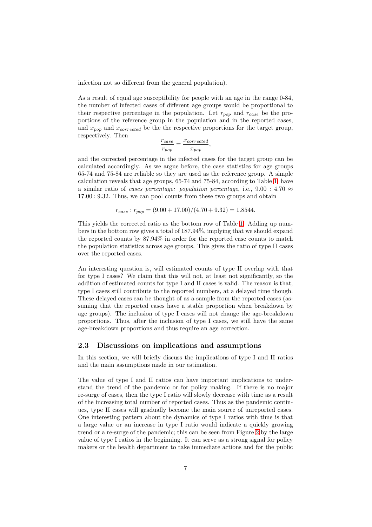infection not so different from the general population).

As a result of equal age susceptibility for people with an age in the range 0-84, the number of infected cases of different age groups would be proportional to their respective percentage in the population. Let  $r_{pop}$  and  $r_{case}$  be the proportions of the reference group in the population and in the reported cases, and  $x_{pop}$  and  $x_{corrected}$  be the the respective proportions for the target group, respectively. Then

$$
\frac{r_{case}}{r_{pop}} = \frac{x_{corrected}}{x_{pop}},
$$

and the corrected percentage in the infected cases for the target group can be calculated accordingly. As we argue before, the case statistics for age groups 65-74 and 75-84 are reliable so they are used as the reference group. A simple calculation reveals that age groups, 65-74 and 75-84, according to Table [1,](#page-5-1) have a similar ratio of *cases percentage: population percentage*, i.e., 9.00 : 4.70  $\approx$ 17.00 : 9.32. Thus, we can pool counts from these two groups and obtain

$$
r_{case}: r_{pop} = (9.00 + 17.00) / (4.70 + 9.32) = 1.8544.
$$

This yields the corrected ratio as the bottom row of Table [1.](#page-5-1) Adding up numbers in the bottom row gives a total of 187.94%, implying that we should expand the reported counts by 87.94% in order for the reported case counts to match the population statistics across age groups. This gives the ratio of type II cases over the reported cases.

An interesting question is, will estimated counts of type II overlap with that for type I cases? We claim that this will not, at least not significantly, so the addition of estimated counts for type I and II cases is valid. The reason is that, type I cases still contribute to the reported numbers, at a delayed time though. These delayed cases can be thought of as a sample from the reported cases (assuming that the reported cases have a stable proportion when breakdown by age groups). The inclusion of type I cases will not change the age-breakdown proportions. Thus, after the inclusion of type I cases, we still have the same age-breakdown proportions and thus require an age correction.

#### 2.3 Discussions on implications and assumptions

In this section, we will briefly discuss the implications of type I and II ratios and the main assumptions made in our estimation.

The value of type I and II ratios can have important implications to understand the trend of the pandemic or for policy making. If there is no major re-surge of cases, then the type I ratio will slowly decrease with time as a result of the increasing total number of reported cases. Thus as the pandemic continues, type II cases will gradually become the main source of unreported cases. One interesting pattern about the dynamics of type I ratios with time is that a large value or an increase in type I ratio would indicate a quickly growing trend or a re-surge of the pandemic; this can be seen from Figure [2](#page-4-0) by the large value of type I ratios in the beginning. It can serve as a strong signal for policy makers or the health department to take immediate actions and for the public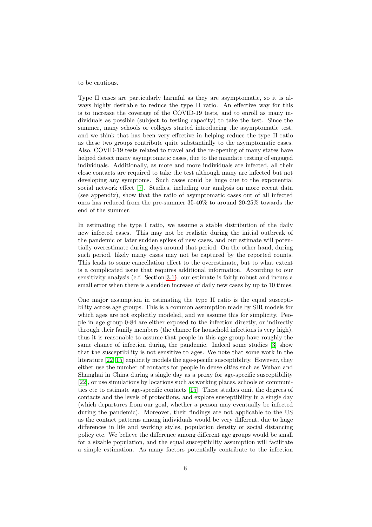#### to be cautious.

Type II cases are particularly harmful as they are asymptomatic, so it is always highly desirable to reduce the type II ratio. An effective way for this is to increase the coverage of the COVID-19 tests, and to enroll as many individuals as possible (subject to testing capacity) to take the test. Since the summer, many schools or colleges started introducing the asymptomatic test, and we think that has been very effective in helping reduce the type II ratio as these two groups contribute quite substantially to the asymptomatic cases. Also, COVID-19 tests related to travel and the re-opening of many states have helped detect many asymptomatic cases, due to the mandate testing of engaged individuals. Additionally, as more and more individuals are infected, all their close contacts are required to take the test although many are infected but not developing any symptoms. Such cases could be huge due to the exponential social network effect [\[7\]](#page-18-8). Studies, including our analysis on more recent data (see appendix), show that the ratio of asymptomatic cases out of all infected ones has reduced from the pre-summer 35-40% to around 20-25% towards the end of the summer.

In estimating the type I ratio, we assume a stable distribution of the daily new infected cases. This may not be realistic during the initial outbreak of the pandemic or later sudden spikes of new cases, and our estimate will potentially overestimate during days around that period. On the other hand, during such period, likely many cases may not be captured by the reported counts. This leads to some cancellation effect to the overestimate, but to what extent is a complicated issue that requires additional information. According to our sensitivity analysis (c.f. Section [3.1\)](#page-9-0), our estimate is fairly robust and incurs a small error when there is a sudden increase of daily new cases by up to 10 times.

One major assumption in estimating the type II ratio is the equal susceptibility across age groups. This is a common assumption made by SIR models for which ages are not explicitly modeled, and we assume this for simplicity. People in age group 0-84 are either exposed to the infection directly, or indirectly through their family members (the chance for household infections is very high), thus it is reasonable to assume that people in this age group have roughly the same chance of infection during the pandemic. Indeed some studies [\[3\]](#page-18-9) show that the susceptibility is not sensitive to ages. We note that some work in the literature [\[22,](#page-19-5) [15\]](#page-19-6) explicitly models the age-specific susceptibility. However, they either use the number of contacts for people in dense cities such as Wuhan and Shanghai in China during a single day as a proxy for age-specific susceptibility [\[22\]](#page-19-5), or use simulations by locations such as working places, schools or communities etc to estimate age-specific contacts [\[15\]](#page-19-6). These studies omit the degrees of contacts and the levels of protections, and explore susceptibility in a single day (which departures from our goal, whether a person may eventually be infected during the pandemic). Moreover, their findings are not applicable to the US as the contact patterns among individuals would be very different, due to huge differences in life and working styles, population density or social distancing policy etc. We believe the difference among different age groups would be small for a sizable population, and the equal susceptibility assumption will facilitate a simple estimation. As many factors potentially contribute to the infection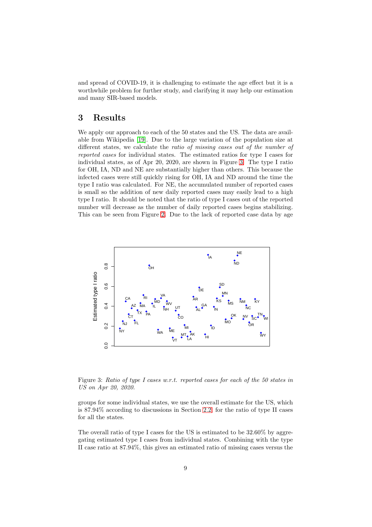and spread of COVID-19, it is challenging to estimate the age effect but it is a worthwhile problem for further study, and clarifying it may help our estimation and many SIR-based models.

# <span id="page-8-0"></span>3 Results

We apply our approach to each of the 50 states and the US. The data are available from Wikipedia [\[19\]](#page-19-7). Due to the large variation of the population size at different states, we calculate the *ratio of missing cases out of the number of reported cases* for individual states. The estimated ratios for type I cases for individual states, as of Apr 20, 2020, are shown in Figure [3.](#page-8-1) The type I ratio for OH, IA, ND and NE are substantially higher than others. This because the infected cases were still quickly rising for OH, IA and ND around the time the type I ratio was calculated. For NE, the accumulated number of reported cases is small so the addition of new daily reported cases may easily lead to a high type I ratio. It should be noted that the ratio of type I cases out of the reported number will decrease as the number of daily reported cases begins stabilizing. This can be seen from Figure [2.](#page-4-0) Due to the lack of reported case data by age



<span id="page-8-1"></span>Figure 3: *Ratio of type I cases w.r.t. reported cases for each of the 50 states in US on Apr 20, 2020.*

groups for some individual states, we use the overall estimate for the US, which is 87.94% according to discussions in Section [2.2,](#page-5-0) for the ratio of type II cases for all the states.

The overall ratio of type I cases for the US is estimated to be 32.60% by aggregating estimated type I cases from individual states. Combining with the type II case ratio at 87.94%, this gives an estimated ratio of missing cases versus the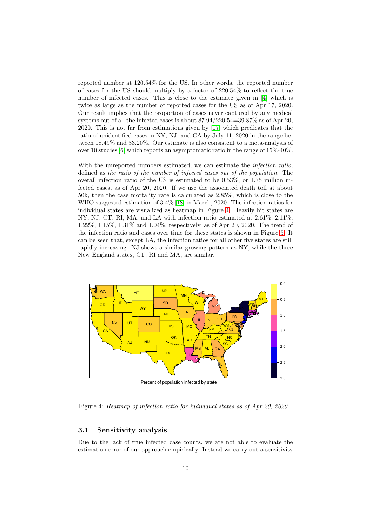reported number at 120.54% for the US. In other words, the reported number of cases for the US should multiply by a factor of 220.54% to reflect the true number of infected cases. This is close to the estimate given in [\[4\]](#page-18-10) which is twice as large as the number of reported cases for the US as of Apr 17, 2020. Our result implies that the proportion of cases never captured by any medical systems out of all the infected cases is about 87.94/220.54=39.87% as of Apr 20, 2020. This is not far from estimations given by [\[17\]](#page-19-1) which predicates that the ratio of unidentified cases in NY, NJ, and CA by July 11, 2020 in the range between 18.49% and 33.20%. Our estimate is also consistent to a meta-analysis of over 10 studies [\[6\]](#page-18-11) which reports an asymptomatic ratio in the range of 15%-40%.

With the unreported numbers estimated, we can estimate the *infection ratio*, defined as *the ratio of the number of infected cases out of the population*. The overall infection ratio of the US is estimated to be 0.53%, or 1.75 million infected cases, as of Apr 20, 2020. If we use the associated death toll at about 50k, then the case mortality rate is calculated as 2.85%, which is close to the WHO suggested estimation of 3.4% [\[18\]](#page-19-8) in March, 2020. The infection ratios for individual states are visualized as heatmap in Figure [4.](#page-9-1) Heavily hit states are NY, NJ, CT, RI, MA, and LA with infection ratio estimated at 2.61%, 2.11%, 1.22%, 1.15%, 1.31% and 1.04%, respectively, as of Apr 20, 2020. The trend of the infection ratio and cases over time for these states is shown in Figure [5.](#page-10-0) It can be seen that, except LA, the infection ratios for all other five states are still rapidly increasing. NJ shows a similar growing pattern as NY, while the three New England states, CT, RI and MA, are similar.



<span id="page-9-1"></span>Figure 4: *Heatmap of infection ratio for individual states as of Apr 20, 2020.*

#### <span id="page-9-0"></span>3.1 Sensitivity analysis

Due to the lack of true infected case counts, we are not able to evaluate the estimation error of our approach empirically. Instead we carry out a sensitivity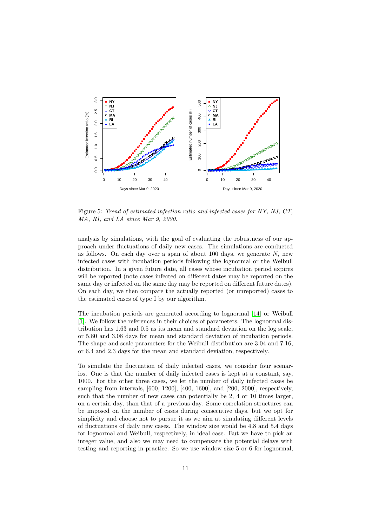

<span id="page-10-0"></span>Figure 5: *Trend of estimated infection ratio and infected cases for NY, NJ, CT, MA, RI, and LA since Mar 9, 2020.*

analysis by simulations, with the goal of evaluating the robustness of our approach under fluctuations of daily new cases. The simulations are conducted as follows. On each day over a span of about 100 days, we generate  $N_i$  new infected cases with incubation periods following the lognormal or the Weibull distribution. In a given future date, all cases whose incubation period expires will be reported (note cases infected on different dates may be reported on the same day or infected on the same day may be reported on different future dates). On each day, we then compare the actually reported (or unreported) cases to the estimated cases of type I by our algorithm.

The incubation periods are generated according to lognormal [\[14\]](#page-18-7) or Weibull [\[1\]](#page-16-1). We follow the references in their choices of parameters. The lognormal distribution has 1.63 and 0.5 as its mean and standard deviation on the log scale, or 5.80 and 3.08 days for mean and standard deviation of incubation periods. The shape and scale parameters for the Weibull distribution are 3.04 and 7.16, or 6.4 and 2.3 days for the mean and standard deviation, respectively.

To simulate the fluctuation of daily infected cases, we consider four scenarios. One is that the number of daily infected cases is kept at a constant, say, 1000. For the other three cases, we let the number of daily infected cases be sampling from intervals, [600, 1200], [400, 1600], and [200, 2000], respectively, such that the number of new cases can potentially be 2, 4 or 10 times larger, on a certain day, than that of a previous day. Some correlation structures can be imposed on the number of cases during consecutive days, but we opt for simplicity and choose not to pursue it as we aim at simulating different levels of fluctuations of daily new cases. The window size would be 4.8 and 5.4 days for lognormal and Weibull, respectively, in ideal case. But we have to pick an integer value, and also we may need to compensate the potential delays with testing and reporting in practice. So we use window size 5 or 6 for lognormal,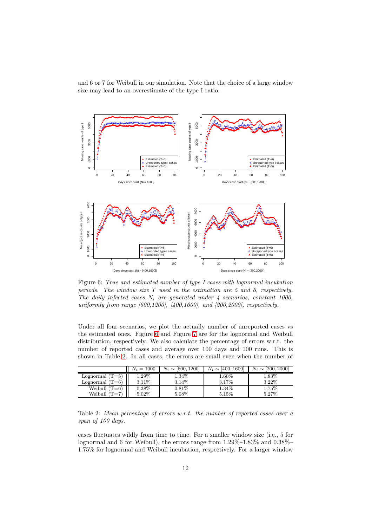and 6 or 7 for Weibull in our simulation. Note that the choice of a large window size may lead to an overestimate of the type I ratio.



<span id="page-11-0"></span>Figure 6: *True and estimated number of type I cases with lognormal incubation periods. The window size* T *used in the estimation are 5 and 6, respectively.* The daily infected cases  $N_i$  are generated under  $\frac{1}{4}$  scenarios, constant 1000, *uniformly from range [600,1200], [400,1600], and [200,2000], respectively.*

Under all four scenarios, we plot the actually number of unreported cases vs the estimated ones. Figure [6](#page-11-0) and Figure [7](#page-12-1) are for the lognormal and Weibull distribution, respectively. We also calculate the percentage of errors w.r.t. the number of reported cases and average over 100 days and 100 runs. This is shown in Table [2.](#page-11-1) In all cases, the errors are small even when the number of

|                   | $N_i = 1000$ | [600, 1200]<br>$N_i \sim$ | [400, 1600]<br>$N_i \sim$ | [200, 2000]<br>$N_i \sim$ |
|-------------------|--------------|---------------------------|---------------------------|---------------------------|
| Lognormal $(T=5)$ | $1.29\%$     | 1.34\%                    | $1.60\%$                  | $1.83\%$                  |
| Lognormal $(T=6)$ | 3.11%        | 3.14\%                    | 3.17%                     | 3.22%                     |
| Weibull $(T=6)$   | $0.38\%$     | $0.81\%$                  | $1.34\%$                  | $1.75\%$                  |
| Weibull $(T=7)$   | 5.02%        | 5.08%                     | 5.15%                     | 5.27%                     |

<span id="page-11-1"></span>Table 2: *Mean percentage of errors w.r.t. the number of reported cases over a span of 100 days.*

cases fluctuates wildly from time to time. For a smaller window size (i.e., 5 for lognormal and 6 for Weibull), the errors range from 1.29%–1.83% and 0.38%– 1.75% for lognormal and Weibull incubation, respectively. For a larger window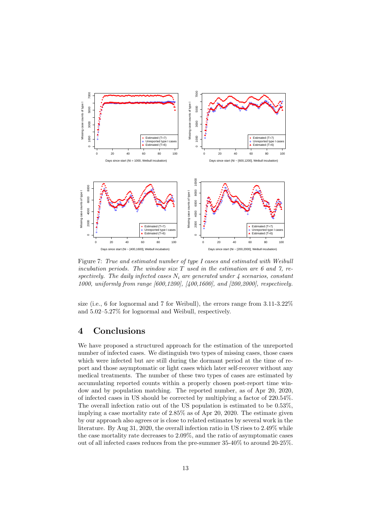

<span id="page-12-1"></span>Figure 7: *True and estimated number of type I cases and estimated with Weibull incubation periods. The window size* T *used in the estimation are 6 and 7, respectively. The daily infected cases* N<sup>i</sup> *are generated under 4 scenarios, constant 1000, uniformly from range [600,1200], [400,1600], and [200,2000], respectively.*

size (i.e., 6 for lognormal and 7 for Weibull), the errors range from 3.11-3.22% and 5.02–5.27% for lognormal and Weibull, respectively.

# <span id="page-12-0"></span>4 Conclusions

We have proposed a structured approach for the estimation of the unreported number of infected cases. We distinguish two types of missing cases, those cases which were infected but are still during the dormant period at the time of report and those asymptomatic or light cases which later self-recover without any medical treatments. The number of these two types of cases are estimated by accumulating reported counts within a properly chosen post-report time window and by population matching. The reported number, as of Apr 20, 2020, of infected cases in US should be corrected by multiplying a factor of 220.54%. The overall infection ratio out of the US population is estimated to be 0.53%, implying a case mortality rate of 2.85% as of Apr 20, 2020. The estimate given by our approach also agrees or is close to related estimates by several work in the literature. By Aug 31, 2020, the overall infection ratio in US rises to 2.49% while the case mortality rate decreases to 2.09%, and the ratio of asymptomatic cases out of all infected cases reduces from the pre-summer 35-40% to around 20-25%.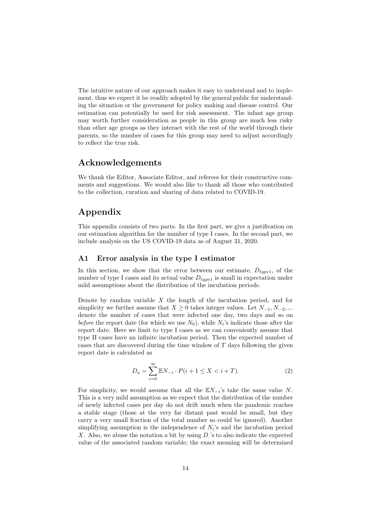The intuitive nature of our approach makes it easy to understand and to implement, thus we expect it be readily adopted by the general public for understanding the situation or the government for policy making and disease control. Our estimation can potentially be used for risk assessment. The infant age group may worth further consideration as people in this group are much less risky than other age groups as they interact with the rest of the world through their parents, so the number of cases for this group may need to adjust accordingly to reflect the true risk.

# Acknowledgements

We thank the Editor, Associate Editor, and referees for their constructive comments and suggestions. We would also like to thank all those who contributed to the collection, curation and sharing of data related to COVID-19.

# Appendix

This appendix consists of two parts. In the first part, we give a justification on our estimation algorithm for the number of type I cases. In the second part, we include analysis on the US COVID-19 data as of August 31, 2020.

#### A1 Error analysis in the type I estimator

In this section, we show that the error between our estimate,  $\hat{D}_{type1}$ , of the number of type I cases and its actual value  $D_{type1}$  is small in expectation under mild assumptions about the distribution of the incubation periods.

Denote by random variable  $X$  the length of the incubation period, and for simplicity we further assume that  $X \geq 0$  takes integer values. Let  $N_{-1}, N_{-2}, ...$ denote the number of cases that were infected one day, two days and so on *before* the report date (for which we use  $N_0$ ), while  $N_i$ 's indicate those after the report date. Here we limit to type I cases as we can conveniently assume that type II cases have an infinite incubation period. Then the expected number of cases that are discovered during the time window of  $T$  days following the given report date is calculated as

<span id="page-13-0"></span>
$$
D_a = \sum_{i=0}^{\infty} \mathbb{E} N_{-i} \cdot P(i+1 \le X < i+T). \tag{2}
$$

For simplicity, we would assume that all the  $\mathbb{E} N_{-i}$ 's take the same value N. This is a very mild assumption as we expect that the distribution of the number of newly infected cases per day do not drift much when the pandemic reaches a stable stage (those at the very far distant past would be small, but they carry a very small fraction of the total number so could be ignored). Another simplifying assumption is the independence of  $N_i$ 's and the incubation period X. Also, we abuse the notation a bit by using D 's to also indicate the expected value of the associated random variable; the exact meaning will be determined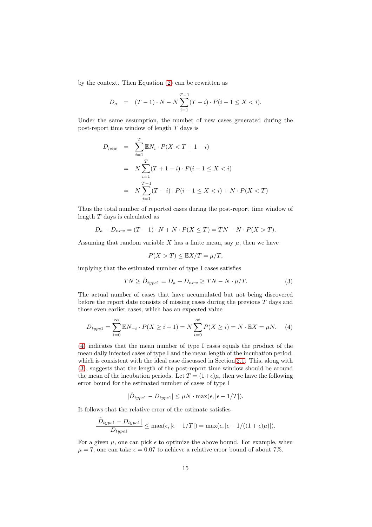by the context. Then Equation [\(2\)](#page-13-0) can be rewritten as

$$
D_a = (T-1) \cdot N - N \sum_{i=1}^{T-1} (T-i) \cdot P(i-1 \le X < i).
$$

Under the same assumption, the number of new cases generated during the post-report time window of length T days is

$$
D_{new} = \sum_{i=1}^{T} \mathbb{E}N_i \cdot P(X < T + 1 - i)
$$
  
=  $N \sum_{i=1}^{T} (T + 1 - i) \cdot P(i - 1 \le X < i)$   
=  $N \sum_{i=1}^{T-1} (T - i) \cdot P(i - 1 \le X < i) + N \cdot P(X < T)$ 

Thus the total number of reported cases during the post-report time window of length T days is calculated as

$$
D_a + D_{new} = (T - 1) \cdot N + N \cdot P(X \leq T) = TN - N \cdot P(X > T).
$$

Assuming that random variable X has a finite mean, say  $\mu$ , then we have

$$
P(X > T) \leq \mathbb{E}X/T = \mu/T,
$$

implying that the estimated number of type I cases satisfies

<span id="page-14-1"></span>
$$
TN \ge \hat{D}_{type1} = D_a + D_{new} \ge TN - N \cdot \mu/T.
$$
\n(3)

The actual number of cases that have accumulated but not being discovered before the report date consists of missing cases during the previous  $T$  days and those even earlier cases, which has an expected value

<span id="page-14-0"></span>
$$
D_{type1} = \sum_{i=0}^{\infty} \mathbb{E}N_{-i} \cdot P(X \ge i+1) = N \sum_{i=0}^{\infty} P(X \ge i) = N \cdot \mathbb{E}X = \mu N. \tag{4}
$$

[\(4\)](#page-14-0) indicates that the mean number of type I cases equals the product of the mean daily infected cases of type I and the mean length of the incubation period, which is consistent with the ideal case discussed in Section [2.1.](#page-2-0) This, along with [\(3\)](#page-14-1), suggests that the length of the post-report time window should be around the mean of the incubation periods. Let  $T = (1+\epsilon)u$ , then we have the following error bound for the estimated number of cases of type I

$$
|\hat{D}_{type1} - D_{type1}| \leq \mu N \cdot \max(\epsilon, |\epsilon - 1/T|).
$$

It follows that the relative error of the estimate satisfies

$$
\frac{|\hat{D}_{type1} - D_{type1}|}{D_{type1}} \le \max(\epsilon, |\epsilon - 1/T|) = \max(\epsilon, |\epsilon - 1/(1 + \epsilon)\mu)|).
$$

For a given  $\mu$ , one can pick  $\epsilon$  to optimize the above bound. For example, when  $\mu = 7$ , one can take  $\epsilon = 0.07$  to achieve a relative error bound of about 7%.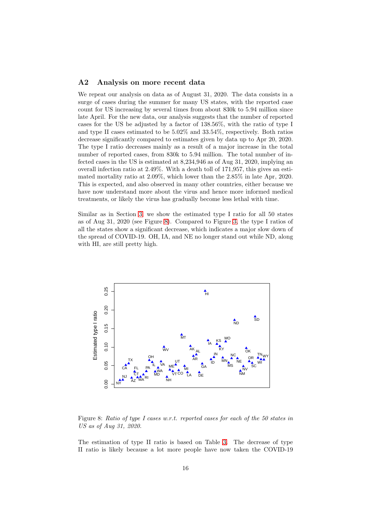#### A2 Analysis on more recent data

We repeat our analysis on data as of August 31, 2020. The data consists in a surge of cases during the summer for many US states, with the reported case count for US increasing by several times from about 830k to 5.94 million since late April. For the new data, our analysis suggests that the number of reported cases for the US be adjusted by a factor of 138.56%, with the ratio of type I and type II cases estimated to be 5.02% and 33.54%, respectively. Both ratios decrease significantly compared to estimates given by data up to Apr 20, 2020. The type I ratio decreases mainly as a result of a major increase in the total number of reported cases, from 830k to 5.94 million. The total number of infected cases in the US is estimated at 8,234,946 as of Aug 31, 2020, implying an overall infection ratio at 2.49%. With a death toll of 171,957, this gives an estimated mortality ratio at 2.09%, which lower than the 2.85% in late Apr, 2020. This is expected, and also observed in many other countries, either because we have now understand more about the virus and hence more informed medical treatments, or likely the virus has gradually become less lethal with time.

Similar as in Section [3,](#page-8-0) we show the estimated type I ratio for all 50 states as of Aug 31, 2020 (see Figure [8\)](#page-15-0). Compared to Figure [3,](#page-8-1) the type I ratios of all the states show a significant decrease, which indicates a major slow down of the spread of COVID-19. OH, IA, and NE no longer stand out while ND, along with HI, are still pretty high.



<span id="page-15-0"></span>Figure 8: *Ratio of type I cases w.r.t. reported cases for each of the 50 states in US as of Aug 31, 2020.*

The estimation of type II ratio is based on Table [3.](#page-16-2) The decrease of type II ratio is likely because a lot more people have now taken the COVID-19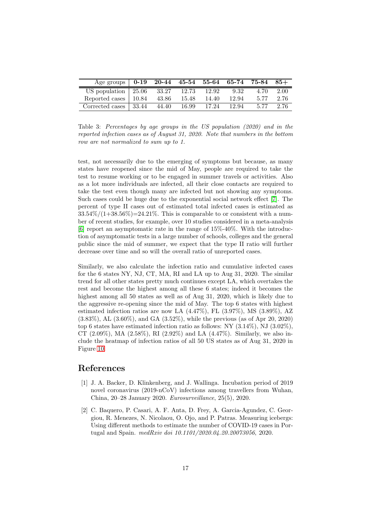| Age groups   $0-19$ 20-44 45-54 55-64 65-74 75-84 85+ |       |       |       |       |      |      |
|-------------------------------------------------------|-------|-------|-------|-------|------|------|
| US population $\vert 25.06 \, 33.27 \, 12.73 \,$      |       |       | 12.92 | 9.32  | 4.70 | 2.00 |
| Reported cases   10.84                                | 43.86 | 15.48 | 14.40 | 12.94 | 5.77 | 2.76 |
| Corrected cases 33.44                                 | 44.40 | 16.99 | 17.24 | 12.94 | 5.77 | 2.76 |

<span id="page-16-2"></span>Table 3: *Percentages by age groups in the US population (2020) and in the reported infection cases as of August 31, 2020. Note that numbers in the bottom row are not normalized to sum up to 1.*

test, not necessarily due to the emerging of symptoms but because, as many states have reopened since the mid of May, people are required to take the test to resume working or to be engaged in summer travels or activities. Also as a lot more individuals are infected, all their close contacts are required to take the test even though many are infected but not showing any symptoms. Such cases could be huge due to the exponential social network effect [\[7\]](#page-18-8). The percent of type II cases out of estimated total infected cases is estimated as  $33.54\%/1+38.56\%) = 24.21\%$ . This is comparable to or consistent with a number of recent studies, for example, over 10 studies considered in a meta-analysis [\[6\]](#page-18-11) report an asymptomatic rate in the range of 15%-40%. With the introduction of asymptomatic tests in a large number of schools, colleges and the general public since the mid of summer, we expect that the type II ratio will further decrease over time and so will the overall ratio of unreported cases.

Similarly, we also calculate the infection ratio and cumulative infected cases for the 6 states NY, NJ, CT, MA, RI and LA up to Aug 31, 2020. The similar trend for all other states pretty much continues except LA, which overtakes the rest and become the highest among all these 6 states; indeed it becomes the highest among all 50 states as well as of Aug 31, 2020, which is likely due to the aggressive re-opening since the mid of May. The top 6 states with highest estimated infection ratios are now LA (4.47%), FL (3.97%), MS (3.89%), AZ (3.83%), AL (3.60%), and GA (3.52%), while the previous (as of Apr 20, 2020) top 6 states have estimated infection ratio as follows: NY  $(3.14\%),$  NJ  $(3.02\%),$ CT  $(2.09\%)$ , MA  $(2.58\%)$ , RI  $(2.92\%)$  and LA  $(4.47\%)$ . Similarly, we also include the heatmap of infection ratios of all 50 US states as of Aug 31, 2020 in Figure [10.](#page-17-0)

## <span id="page-16-1"></span>References

- [1] J. A. Backer, D. Klinkenberg, and J. Wallinga. Incubation period of 2019 novel coronavirus (2019-nCoV) infections among travellers from Wuhan, China, 20–28 January 2020. *Eurosurveillance*, 25(5), 2020.
- <span id="page-16-0"></span>[2] C. Baquero, P. Casari, A. F. Anta, D. Frey, A. Garcia-Agundez, C. Georgiou, R. Menezes, N. Nicolaou, O. Ojo, and P. Patras. Measuring icebergs: Using different methods to estimate the number of COVID-19 cases in Portugal and Spain. *medRxiv doi 10.1101/2020.04.20.20073056*, 2020.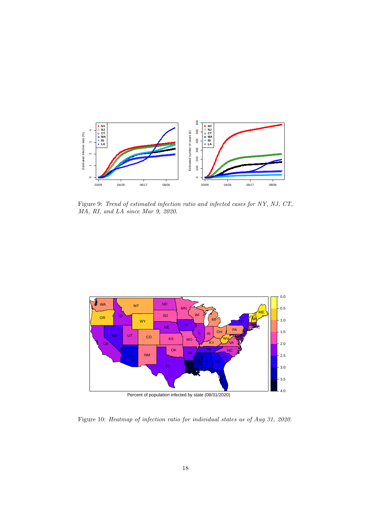

Figure 9: *Trend of estimated infection ratio and infected cases for NY, NJ, CT, MA, RI, and LA since Mar 9, 2020.*



Percent of population infected by state (08/31/2020)

<span id="page-17-0"></span>Figure 10: *Heatmap of infection ratio for individual states as of Aug 31, 2020.*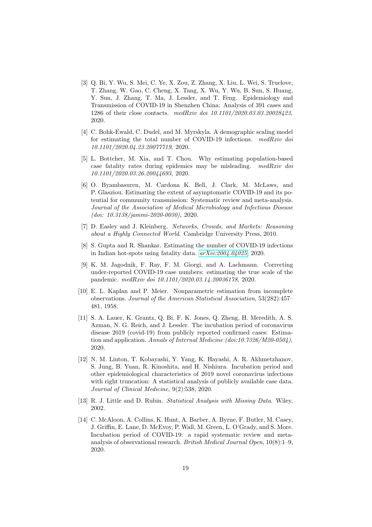- <span id="page-18-9"></span>[3] Q. Bi, Y. Wu, S. Mei, C. Ye, X. Zou, Z. Zhang, X. Liu, L. Wei, S. Truelove, T. Zhang, W. Gao, C. Cheng, X. Tang, X. Wu, Y. Wu, B. Sun, S. Huang, Y. Sun, J. Zhang, T. Ma, J. Lessler, and T. Feng. Epidemiology and Transmission of COVID-19 in Shenzhen China: Analysis of 391 cases and 1286 of their close contacts. *medRxiv doi 10.1101/2020.03.03.20028423*, 2020.
- <span id="page-18-10"></span>[4] C. Bohk-Ewald, C. Dudel, and M. Myrskyla. A demographic scaling model for estimating the total number of COVID-19 infections. *medRxiv doi 10.1101/2020.04.23.20077719*, 2020.
- <span id="page-18-2"></span>[5] L. Bottcher, M. Xia, and T. Chou. Why estimating population-based case fatality rates during epidemics may be misleading. *medRxiv doi 10.1101/2020.03.26.20044693*, 2020.
- <span id="page-18-11"></span>[6] O. Byambasuren, M. Cardona K. Bell, J. Clark, M. McLaws, and P. Glasziou. Estimating the extent of asymptomatic COVID-19 and its potential for community transmission: Systematic review and meta-analysis. *Journal of the Association of Medical Microbiology and Infectious Disease (doi: 10.3138/jammi-2020-0030)*, 2020.
- <span id="page-18-8"></span><span id="page-18-0"></span>[7] D. Easley and J. Kleinberg. *Networks, Crowds, and Markets: Reasoning about a Highly Connected World*. Cambridge University Press, 2010.
- [8] S. Gupta and R. Shankar. Estimating the number of COVID-19 infections in Indian hot-spots using fatality data. *[arXiv:2004.04025](http://arxiv.org/abs/2004.04025)*, 2020.
- <span id="page-18-1"></span>[9] K. M. Jagodnik, F. Ray, F. M. Giorgi, and A. Lachmann. Correcting under-reported COVID-19 case numbers: estimating the true scale of the pandemic. *medRxiv doi 10.1101/2020.03.14.20036178*, 2020.
- <span id="page-18-4"></span>[10] E. L. Kaplan and P. Meier. Nonparametric estimation from incomplete observations. *Journal of the American Statistical Association*, 53(282):457– 481, 1958.
- <span id="page-18-5"></span>[11] S. A. Lauer, K. Grantz, Q. Bi, F. K. Jones, Q. Zheng, H. Meredith, A. S. Azman, N. G. Reich, and J. Lessler. The incubation period of coronavirus disease 2019 (covid-19) from publicly reported confirmed cases: Estimation and application. *Annals of Internal Medicine (doi:10.7326/M20-0504)*, 2020.
- <span id="page-18-6"></span>[12] N. M. Linton, T. Kobayashi, Y. Yang, K. Hayashi, A. R. Akhmetzhanov, S. Jung, B. Yuan, R. Kinoshita, and H. Nishiura. Incubation period and other epidemiological characteristics of 2019 novel coronavirus infections with right truncation: A statistical analysis of publicly available case data. *Journal of Clinical Medicine*, 9(2):538, 2020.
- <span id="page-18-7"></span><span id="page-18-3"></span>[13] R. J. Little and D. Rubin. *Statistical Analysis with Missing Data*. Wiley, 2002.
- [14] C. McAloon, A. Collins, K. Hunt, A. Barber, A. Byrne, F. Butler, M. Casey, J. Griffin, E. Lane, D. McEvoy, P. Wall, M. Green, L. O'Grady, and S. More. Incubation period of COVID-19: a rapid systematic review and metaanalysis of observational research. *British Medical Journal Open*, 10(8):1–9, 2020.